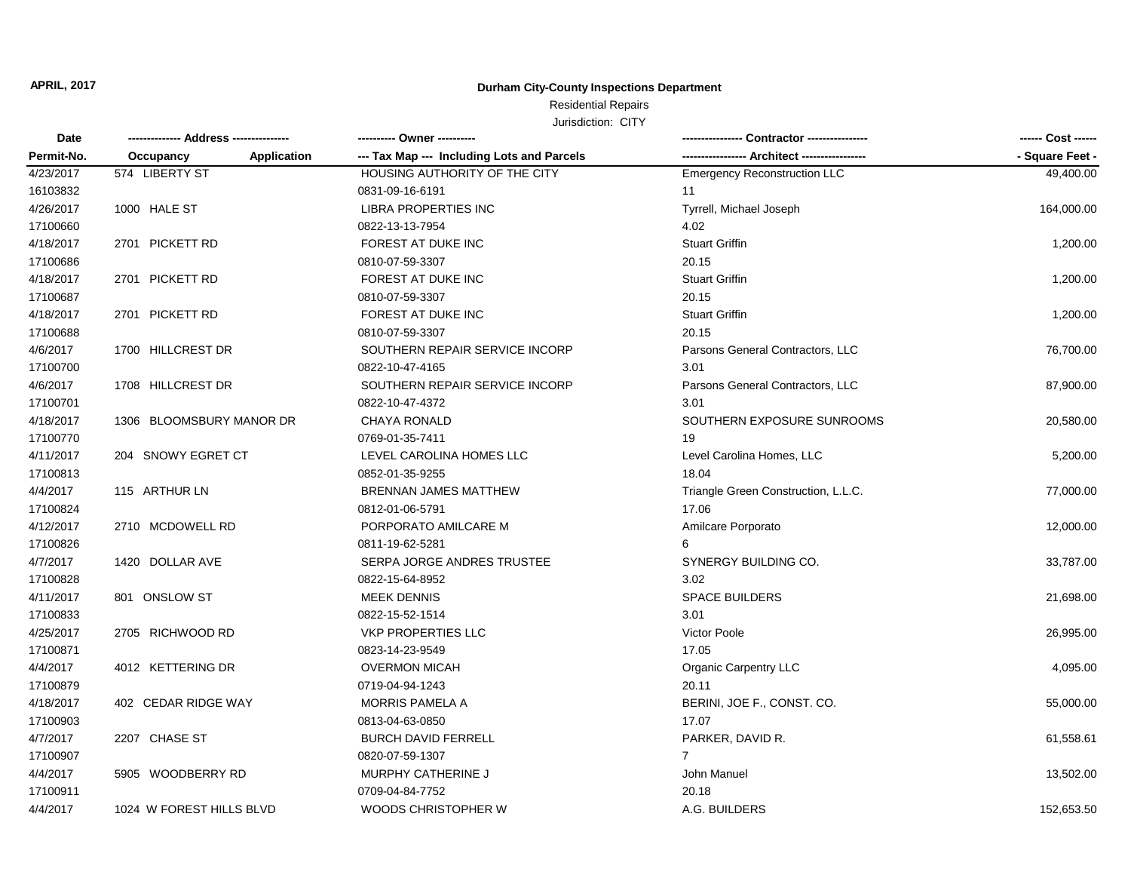## **Durham City-County Inspections Department**

# Residential Repairs

| Date<br>Permit-No. | -------------- Address --------------- | ---------- Owner ----------                |                                              | ------ Cost ------ |
|--------------------|----------------------------------------|--------------------------------------------|----------------------------------------------|--------------------|
|                    | Application<br>Occupancy               | --- Tax Map --- Including Lots and Parcels | ----------------- Architect ---------------- | - Square Feet -    |
| 4/23/2017          | 574 LIBERTY ST                         | HOUSING AUTHORITY OF THE CITY              | <b>Emergency Reconstruction LLC</b>          | 49,400.00          |
| 16103832           |                                        | 0831-09-16-6191                            | 11                                           |                    |
| 4/26/2017          | 1000 HALE ST                           | <b>LIBRA PROPERTIES INC</b>                | Tyrrell, Michael Joseph                      | 164,000.00         |
| 17100660           |                                        | 0822-13-13-7954                            | 4.02                                         |                    |
| 4/18/2017          | 2701 PICKETT RD                        | FOREST AT DUKE INC                         | <b>Stuart Griffin</b>                        | 1,200.00           |
| 17100686           |                                        | 0810-07-59-3307                            | 20.15                                        |                    |
| 4/18/2017          | 2701 PICKETT RD                        | FOREST AT DUKE INC                         | <b>Stuart Griffin</b>                        | 1,200.00           |
| 17100687           |                                        | 0810-07-59-3307                            | 20.15                                        |                    |
| 4/18/2017          | 2701 PICKETT RD                        | FOREST AT DUKE INC                         | <b>Stuart Griffin</b>                        | 1,200.00           |
| 17100688           |                                        | 0810-07-59-3307                            | 20.15                                        |                    |
| 4/6/2017           | 1700 HILLCREST DR                      | SOUTHERN REPAIR SERVICE INCORP             | Parsons General Contractors, LLC             | 76,700.00          |
| 17100700           |                                        | 0822-10-47-4165                            | 3.01                                         |                    |
| 4/6/2017           | 1708 HILLCREST DR                      | SOUTHERN REPAIR SERVICE INCORP             | Parsons General Contractors, LLC             | 87,900.00          |
| 17100701           |                                        | 0822-10-47-4372                            | 3.01                                         |                    |
| 4/18/2017          | 1306 BLOOMSBURY MANOR DR               | <b>CHAYA RONALD</b>                        | SOUTHERN EXPOSURE SUNROOMS                   | 20,580.00          |
| 17100770           |                                        | 0769-01-35-7411                            | 19                                           |                    |
| 4/11/2017          | 204 SNOWY EGRET CT                     | LEVEL CAROLINA HOMES LLC                   | Level Carolina Homes, LLC                    | 5,200.00           |
| 17100813           |                                        | 0852-01-35-9255                            | 18.04                                        |                    |
| 4/4/2017           | 115 ARTHUR LN                          | BRENNAN JAMES MATTHEW                      | Triangle Green Construction, L.L.C.          | 77,000.00          |
| 17100824           |                                        | 0812-01-06-5791                            | 17.06                                        |                    |
| 4/12/2017          | 2710 MCDOWELL RD                       | PORPORATO AMILCARE M                       | Amilcare Porporato                           | 12,000.00          |
| 17100826           |                                        | 0811-19-62-5281                            |                                              |                    |
| 4/7/2017           | 1420 DOLLAR AVE                        | SERPA JORGE ANDRES TRUSTEE                 | SYNERGY BUILDING CO.                         | 33,787.00          |
| 17100828           |                                        | 0822-15-64-8952                            | 3.02                                         |                    |
| 4/11/2017          | 801 ONSLOW ST                          | <b>MEEK DENNIS</b>                         | <b>SPACE BUILDERS</b>                        | 21,698.00          |
| 17100833           |                                        | 0822-15-52-1514                            | 3.01                                         |                    |
| 4/25/2017          | 2705 RICHWOOD RD                       | <b>VKP PROPERTIES LLC</b>                  | Victor Poole                                 | 26,995.00          |
| 17100871           |                                        | 0823-14-23-9549                            | 17.05                                        |                    |
| 4/4/2017           | 4012 KETTERING DR                      | <b>OVERMON MICAH</b>                       | <b>Organic Carpentry LLC</b>                 | 4,095.00           |
| 17100879           |                                        | 0719-04-94-1243                            | 20.11                                        |                    |
| 4/18/2017          | 402 CEDAR RIDGE WAY                    | MORRIS PAMELA A                            | BERINI, JOE F., CONST. CO.                   | 55,000.00          |
| 17100903           |                                        | 0813-04-63-0850                            | 17.07                                        |                    |
| 4/7/2017           | 2207 CHASE ST                          | <b>BURCH DAVID FERRELL</b>                 | PARKER, DAVID R.                             | 61,558.61          |
| 17100907           |                                        | 0820-07-59-1307                            | $\overline{7}$                               |                    |
| 4/4/2017           | 5905 WOODBERRY RD                      | MURPHY CATHERINE J                         | John Manuel                                  | 13,502.00          |
| 17100911           |                                        | 0709-04-84-7752                            | 20.18                                        |                    |
| 4/4/2017           | 1024 W FOREST HILLS BLVD               | WOODS CHRISTOPHER W                        | A.G. BUILDERS                                | 152,653.50         |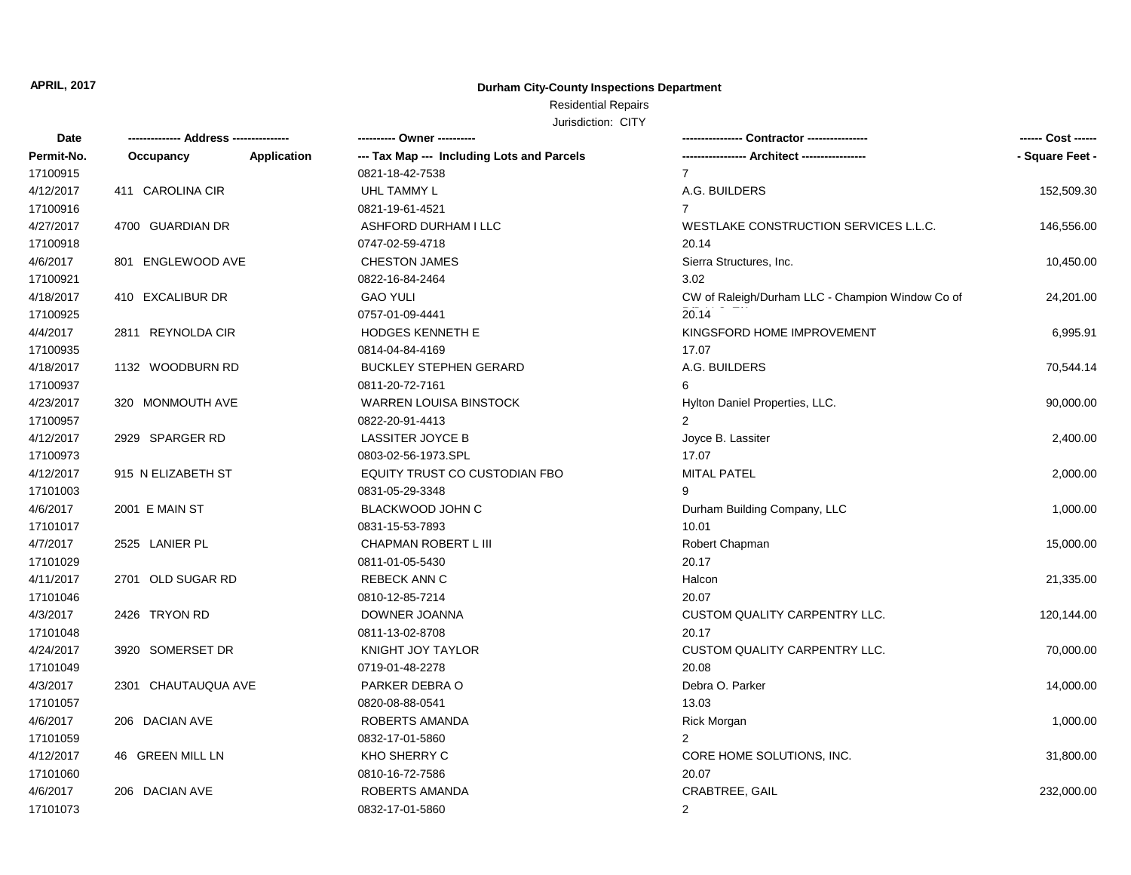## **Durham City-County Inspections Department**

## Residential Repairs Jurisdiction: CITY

| Date       |                     |                    | ---------- Owner ----------                |                                                  | ------ Cost ------ |
|------------|---------------------|--------------------|--------------------------------------------|--------------------------------------------------|--------------------|
| Permit-No. | Occupancy           | <b>Application</b> | --- Tax Map --- Including Lots and Parcels |                                                  | - Square Feet -    |
| 17100915   |                     |                    | 0821-18-42-7538                            | $\overline{7}$                                   |                    |
| 4/12/2017  | 411 CAROLINA CIR    |                    | UHL TAMMY L                                | A.G. BUILDERS                                    | 152,509.30         |
| 17100916   |                     |                    | 0821-19-61-4521                            | $\overline{7}$                                   |                    |
| 4/27/2017  | 4700 GUARDIAN DR    |                    | ASHFORD DURHAM I LLC                       | WESTLAKE CONSTRUCTION SERVICES L.L.C.            | 146,556.00         |
| 17100918   |                     |                    | 0747-02-59-4718                            | 20.14                                            |                    |
| 4/6/2017   | 801 ENGLEWOOD AVE   |                    | <b>CHESTON JAMES</b>                       | Sierra Structures, Inc.                          | 10,450.00          |
| 17100921   |                     |                    | 0822-16-84-2464                            | 3.02                                             |                    |
| 4/18/2017  | 410 EXCALIBUR DR    |                    | <b>GAO YULI</b>                            | CW of Raleigh/Durham LLC - Champion Window Co of | 24,201.00          |
| 17100925   |                     |                    | 0757-01-09-4441                            | 20.14                                            |                    |
| 4/4/2017   | 2811 REYNOLDA CIR   |                    | <b>HODGES KENNETH E</b>                    | KINGSFORD HOME IMPROVEMENT                       | 6,995.91           |
| 17100935   |                     |                    | 0814-04-84-4169                            | 17.07                                            |                    |
| 4/18/2017  | 1132 WOODBURN RD    |                    | <b>BUCKLEY STEPHEN GERARD</b>              | A.G. BUILDERS                                    | 70,544.14          |
| 17100937   |                     |                    | 0811-20-72-7161                            | 6                                                |                    |
| 4/23/2017  | 320 MONMOUTH AVE    |                    | WARREN LOUISA BINSTOCK                     | Hylton Daniel Properties, LLC.                   | 90,000.00          |
| 17100957   |                     |                    | 0822-20-91-4413                            | $\overline{2}$                                   |                    |
| 4/12/2017  | 2929 SPARGER RD     |                    | <b>LASSITER JOYCE B</b>                    | Joyce B. Lassiter                                | 2,400.00           |
| 17100973   |                     |                    | 0803-02-56-1973.SPL                        | 17.07                                            |                    |
| 4/12/2017  | 915 N ELIZABETH ST  |                    | EQUITY TRUST CO CUSTODIAN FBO              | <b>MITAL PATEL</b>                               | 2,000.00           |
| 17101003   |                     |                    | 0831-05-29-3348                            | 9                                                |                    |
| 4/6/2017   | 2001 E MAIN ST      |                    | BLACKWOOD JOHN C                           | Durham Building Company, LLC                     | 1,000.00           |
| 17101017   |                     |                    | 0831-15-53-7893                            | 10.01                                            |                    |
| 4/7/2017   | 2525 LANIER PL      |                    | CHAPMAN ROBERT L III                       | Robert Chapman                                   | 15,000.00          |
| 17101029   |                     |                    | 0811-01-05-5430                            | 20.17                                            |                    |
| 4/11/2017  | 2701 OLD SUGAR RD   |                    | <b>REBECK ANN C</b>                        | Halcon                                           | 21,335.00          |
| 17101046   |                     |                    | 0810-12-85-7214                            | 20.07                                            |                    |
| 4/3/2017   | 2426 TRYON RD       |                    | DOWNER JOANNA                              | CUSTOM QUALITY CARPENTRY LLC.                    | 120,144.00         |
| 17101048   |                     |                    | 0811-13-02-8708                            | 20.17                                            |                    |
| 4/24/2017  | 3920 SOMERSET DR    |                    | <b>KNIGHT JOY TAYLOR</b>                   | CUSTOM QUALITY CARPENTRY LLC.                    | 70,000.00          |
| 17101049   |                     |                    | 0719-01-48-2278                            | 20.08                                            |                    |
| 4/3/2017   | 2301 CHAUTAUQUA AVE |                    | PARKER DEBRA O                             | Debra O. Parker                                  | 14,000.00          |
| 17101057   |                     |                    | 0820-08-88-0541                            | 13.03                                            |                    |
| 4/6/2017   | 206 DACIAN AVE      |                    | ROBERTS AMANDA                             | <b>Rick Morgan</b>                               | 1,000.00           |
| 17101059   |                     |                    | 0832-17-01-5860                            | $\overline{2}$                                   |                    |
| 4/12/2017  | 46 GREEN MILL LN    |                    | KHO SHERRY C                               | CORE HOME SOLUTIONS, INC.                        | 31,800.00          |
| 17101060   |                     |                    | 0810-16-72-7586                            | 20.07                                            |                    |
| 4/6/2017   | 206 DACIAN AVE      |                    | ROBERTS AMANDA                             | CRABTREE, GAIL                                   | 232,000.00         |
| 17101073   |                     |                    | 0832-17-01-5860                            | $\overline{2}$                                   |                    |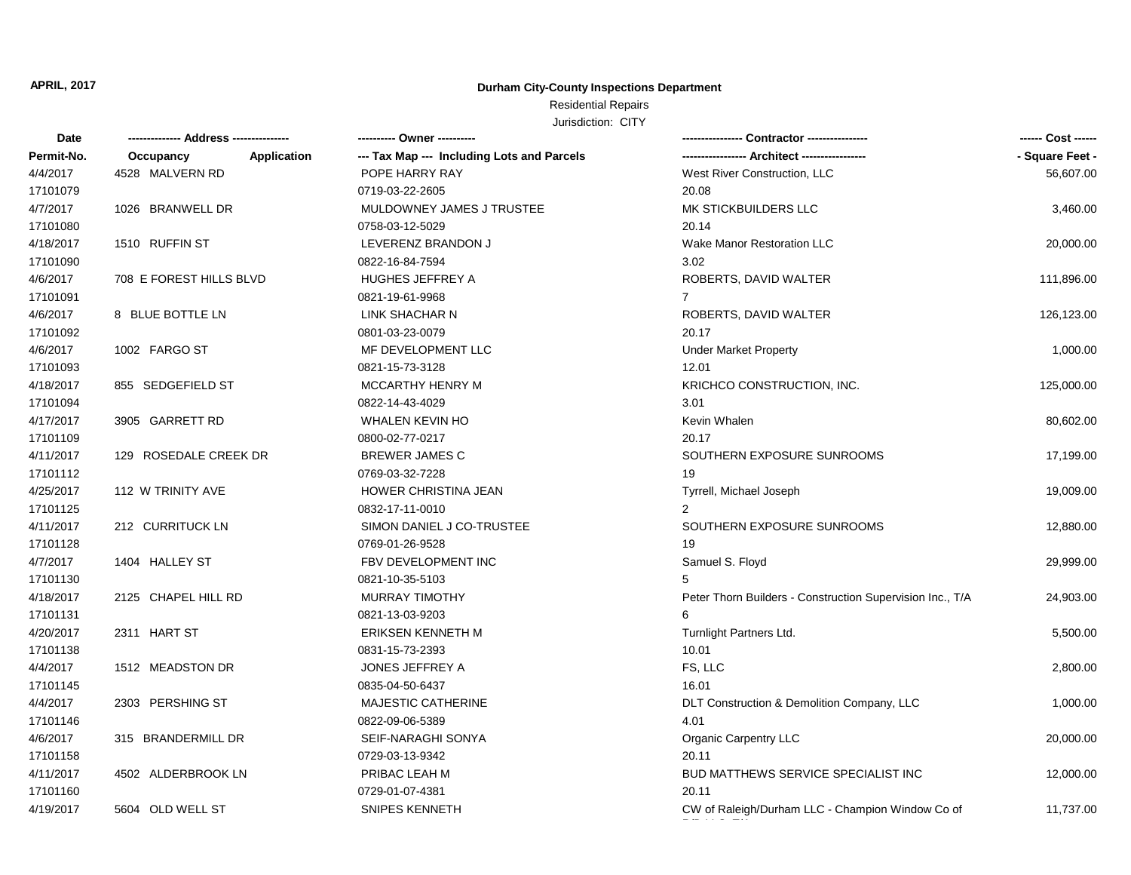## **Durham City-County Inspections Department**

# Residential Repairs Jurisdiction: CITY

| Date       |                                 | ---------- Owner ----------                |                                                           | ------ Cost ------ |
|------------|---------------------------------|--------------------------------------------|-----------------------------------------------------------|--------------------|
| Permit-No. | <b>Application</b><br>Occupancy | --- Tax Map --- Including Lots and Parcels |                                                           | - Square Feet -    |
| 4/4/2017   | 4528 MALVERN RD                 | POPE HARRY RAY                             | West River Construction, LLC                              | 56,607.00          |
| 17101079   |                                 | 0719-03-22-2605                            | 20.08                                                     |                    |
| 4/7/2017   | 1026 BRANWELL DR                | MULDOWNEY JAMES J TRUSTEE                  | MK STICKBUILDERS LLC                                      | 3,460.00           |
| 17101080   |                                 | 0758-03-12-5029                            | 20.14                                                     |                    |
| 4/18/2017  | 1510 RUFFIN ST                  | LEVERENZ BRANDON J                         | <b>Wake Manor Restoration LLC</b>                         | 20,000.00          |
| 17101090   |                                 | 0822-16-84-7594                            | 3.02                                                      |                    |
| 4/6/2017   | 708 E FOREST HILLS BLVD         | <b>HUGHES JEFFREY A</b>                    | ROBERTS, DAVID WALTER                                     | 111,896.00         |
| 17101091   |                                 | 0821-19-61-9968                            | $\overline{7}$                                            |                    |
| 4/6/2017   | 8 BLUE BOTTLE LN                | LINK SHACHAR N                             | ROBERTS, DAVID WALTER                                     | 126,123.00         |
| 17101092   |                                 | 0801-03-23-0079                            | 20.17                                                     |                    |
| 4/6/2017   | 1002 FARGO ST                   | MF DEVELOPMENT LLC                         | <b>Under Market Property</b>                              | 1,000.00           |
| 17101093   |                                 | 0821-15-73-3128                            | 12.01                                                     |                    |
| 4/18/2017  | 855 SEDGEFIELD ST               | MCCARTHY HENRY M                           | KRICHCO CONSTRUCTION, INC.                                | 125,000.00         |
| 17101094   |                                 | 0822-14-43-4029                            | 3.01                                                      |                    |
| 4/17/2017  | 3905 GARRETT RD                 | <b>WHALEN KEVIN HO</b>                     | Kevin Whalen                                              | 80,602.00          |
| 17101109   |                                 | 0800-02-77-0217                            | 20.17                                                     |                    |
| 4/11/2017  | 129 ROSEDALE CREEK DR           | <b>BREWER JAMES C</b>                      | SOUTHERN EXPOSURE SUNROOMS                                | 17,199.00          |
| 17101112   |                                 | 0769-03-32-7228                            | 19                                                        |                    |
| 4/25/2017  | 112 W TRINITY AVE               | HOWER CHRISTINA JEAN                       | Tyrrell, Michael Joseph                                   | 19,009.00          |
| 17101125   |                                 | 0832-17-11-0010                            |                                                           |                    |
| 4/11/2017  | 212 CURRITUCK LN                | SIMON DANIEL J CO-TRUSTEE                  | SOUTHERN EXPOSURE SUNROOMS                                | 12,880.00          |
| 17101128   |                                 | 0769-01-26-9528                            | 19                                                        |                    |
| 4/7/2017   | 1404 HALLEY ST                  | FBV DEVELOPMENT INC                        | Samuel S. Floyd                                           | 29,999.00          |
| 17101130   |                                 | 0821-10-35-5103                            | 5                                                         |                    |
| 4/18/2017  | 2125 CHAPEL HILL RD             | <b>MURRAY TIMOTHY</b>                      | Peter Thorn Builders - Construction Supervision Inc., T/A | 24,903.00          |
| 17101131   |                                 | 0821-13-03-9203                            | 6                                                         |                    |
| 4/20/2017  | 2311 HART ST                    | <b>ERIKSEN KENNETH M</b>                   | Turnlight Partners Ltd.                                   | 5,500.00           |
| 17101138   |                                 | 0831-15-73-2393                            | 10.01                                                     |                    |
| 4/4/2017   | 1512 MEADSTON DR                | JONES JEFFREY A                            | FS, LLC                                                   | 2,800.00           |
| 17101145   |                                 | 0835-04-50-6437                            | 16.01                                                     |                    |
| 4/4/2017   | 2303 PERSHING ST                | <b>MAJESTIC CATHERINE</b>                  | DLT Construction & Demolition Company, LLC                | 1,000.00           |
| 17101146   |                                 | 0822-09-06-5389                            | 4.01                                                      |                    |
| 4/6/2017   | 315 BRANDERMILL DR              | SEIF-NARAGHI SONYA                         | <b>Organic Carpentry LLC</b>                              | 20,000.00          |
| 17101158   |                                 | 0729-03-13-9342                            | 20.11                                                     |                    |
| 4/11/2017  | 4502 ALDERBROOK LN              | PRIBAC LEAH M                              | <b>BUD MATTHEWS SERVICE SPECIALIST INC</b>                | 12,000.00          |
| 17101160   |                                 | 0729-01-07-4381                            | 20.11                                                     |                    |
| 4/19/2017  | 5604 OLD WELL ST                | <b>SNIPES KENNETH</b>                      | CW of Raleigh/Durham LLC - Champion Window Co of          | 11,737.00          |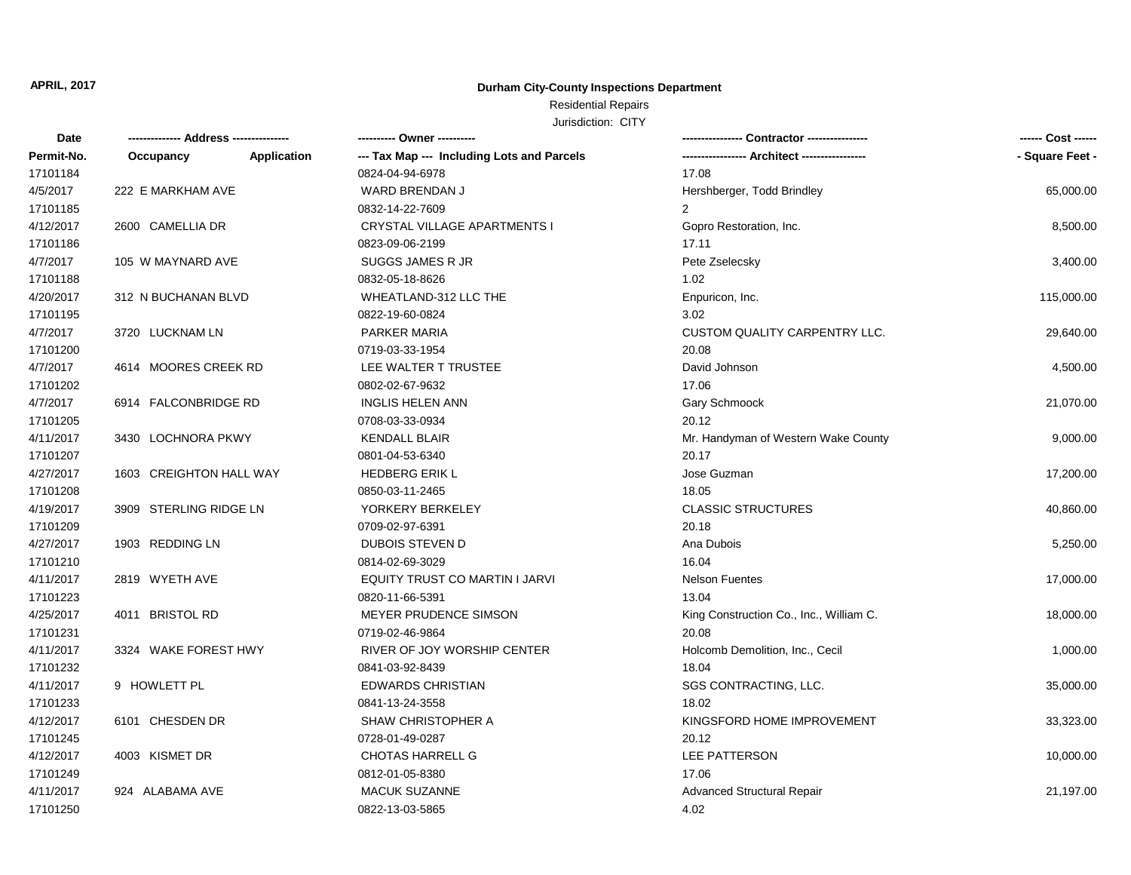## **Durham City-County Inspections Department**

# Residential Repairs

| Date       | -------------- Address --------------- |             |                                            |                                         | ------ Cost ------ |
|------------|----------------------------------------|-------------|--------------------------------------------|-----------------------------------------|--------------------|
| Permit-No. | Occupancy                              | Application | --- Tax Map --- Including Lots and Parcels |                                         | - Square Feet -    |
| 17101184   |                                        |             | 0824-04-94-6978                            | 17.08                                   |                    |
| 4/5/2017   | 222 E MARKHAM AVE                      |             | WARD BRENDAN J                             | Hershberger, Todd Brindley              | 65,000.00          |
| 17101185   |                                        |             | 0832-14-22-7609                            | $\overline{2}$                          |                    |
| 4/12/2017  | 2600 CAMELLIA DR                       |             | CRYSTAL VILLAGE APARTMENTS I               | Gopro Restoration, Inc.                 | 8,500.00           |
| 17101186   |                                        |             | 0823-09-06-2199                            | 17.11                                   |                    |
| 4/7/2017   | 105 W MAYNARD AVE                      |             | SUGGS JAMES R JR                           | Pete Zselecsky                          | 3,400.00           |
| 17101188   |                                        |             | 0832-05-18-8626                            | 1.02                                    |                    |
| 4/20/2017  | 312 N BUCHANAN BLVD                    |             | WHEATLAND-312 LLC THE                      | Enpuricon, Inc.                         | 115,000.00         |
| 17101195   |                                        |             | 0822-19-60-0824                            | 3.02                                    |                    |
| 4/7/2017   | 3720 LUCKNAM LN                        |             | PARKER MARIA                               | <b>CUSTOM QUALITY CARPENTRY LLC.</b>    | 29,640.00          |
| 17101200   |                                        |             | 0719-03-33-1954                            | 20.08                                   |                    |
| 4/7/2017   | 4614 MOORES CREEK RD                   |             | LEE WALTER T TRUSTEE                       | David Johnson                           | 4,500.00           |
| 17101202   |                                        |             | 0802-02-67-9632                            | 17.06                                   |                    |
| 4/7/2017   | 6914 FALCONBRIDGE RD                   |             | <b>INGLIS HELEN ANN</b>                    | Gary Schmoock                           | 21,070.00          |
| 17101205   |                                        |             | 0708-03-33-0934                            | 20.12                                   |                    |
| 4/11/2017  | 3430 LOCHNORA PKWY                     |             | <b>KENDALL BLAIR</b>                       | Mr. Handyman of Western Wake County     | 9,000.00           |
| 17101207   |                                        |             | 0801-04-53-6340                            | 20.17                                   |                    |
| 4/27/2017  | 1603 CREIGHTON HALL WAY                |             | <b>HEDBERG ERIK L</b>                      | Jose Guzman                             | 17,200.00          |
| 17101208   |                                        |             | 0850-03-11-2465                            | 18.05                                   |                    |
| 4/19/2017  | 3909 STERLING RIDGE LN                 |             | YORKERY BERKELEY                           | <b>CLASSIC STRUCTURES</b>               | 40,860.00          |
| 17101209   |                                        |             | 0709-02-97-6391                            | 20.18                                   |                    |
| 4/27/2017  | 1903 REDDING LN                        |             | <b>DUBOIS STEVEN D</b>                     | Ana Dubois                              | 5,250.00           |
| 17101210   |                                        |             | 0814-02-69-3029                            | 16.04                                   |                    |
| 4/11/2017  | 2819 WYETH AVE                         |             | EQUITY TRUST CO MARTIN I JARVI             | <b>Nelson Fuentes</b>                   | 17,000.00          |
| 17101223   |                                        |             | 0820-11-66-5391                            | 13.04                                   |                    |
| 4/25/2017  | 4011 BRISTOL RD                        |             | MEYER PRUDENCE SIMSON                      | King Construction Co., Inc., William C. | 18,000.00          |
| 17101231   |                                        |             | 0719-02-46-9864                            | 20.08                                   |                    |
| 4/11/2017  | 3324 WAKE FOREST HWY                   |             | RIVER OF JOY WORSHIP CENTER                | Holcomb Demolition, Inc., Cecil         | 1,000.00           |
| 17101232   |                                        |             | 0841-03-92-8439                            | 18.04                                   |                    |
| 4/11/2017  | 9 HOWLETT PL                           |             | <b>EDWARDS CHRISTIAN</b>                   | SGS CONTRACTING, LLC.                   | 35,000.00          |
| 17101233   |                                        |             | 0841-13-24-3558                            | 18.02                                   |                    |
| 4/12/2017  | 6101 CHESDEN DR                        |             | SHAW CHRISTOPHER A                         | KINGSFORD HOME IMPROVEMENT              | 33,323.00          |
| 17101245   |                                        |             | 0728-01-49-0287                            | 20.12                                   |                    |
| 4/12/2017  | 4003 KISMET DR                         |             | <b>CHOTAS HARRELL G</b>                    | LEE PATTERSON                           | 10,000.00          |
| 17101249   |                                        |             | 0812-01-05-8380                            | 17.06                                   |                    |
| 4/11/2017  | 924 ALABAMA AVE                        |             | <b>MACUK SUZANNE</b>                       | <b>Advanced Structural Repair</b>       | 21,197.00          |
| 17101250   |                                        |             | 0822-13-03-5865                            | 4.02                                    |                    |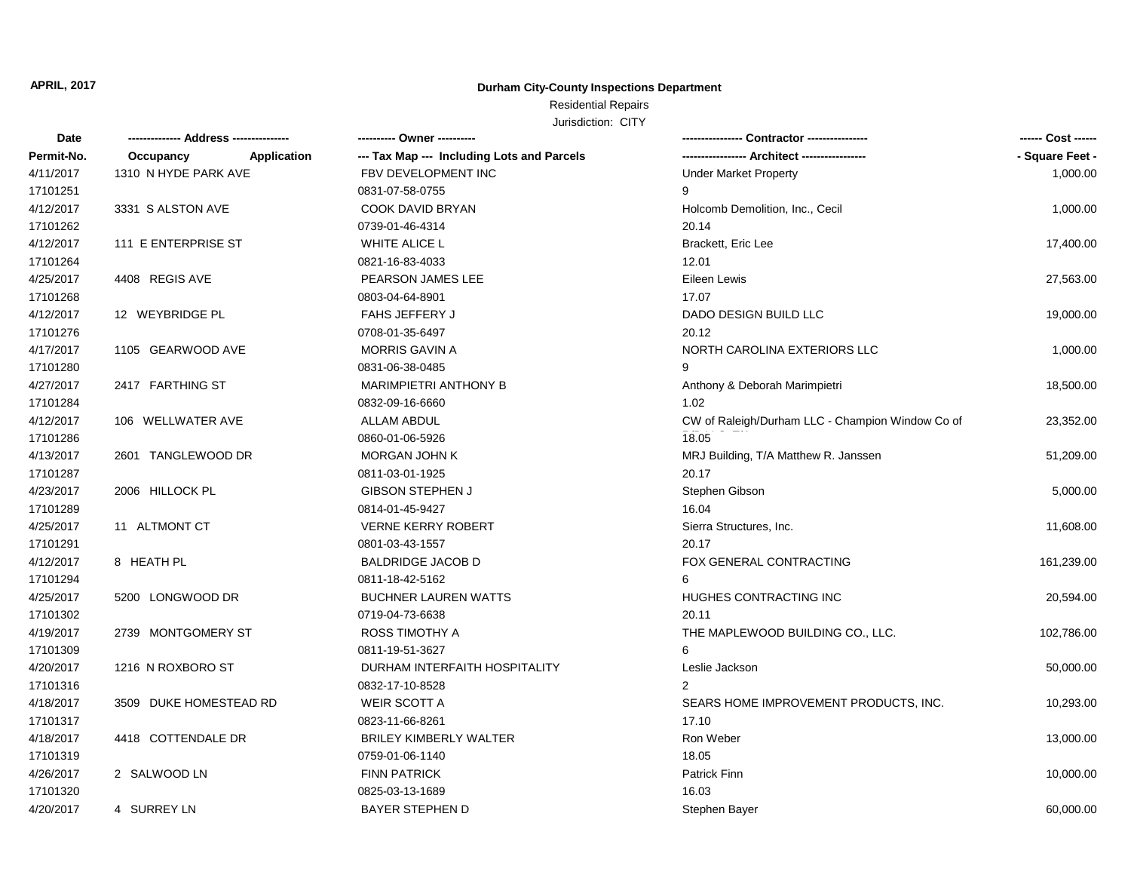#### **Durham City-County Inspections Department**

#### Residential Repairs Jurisdiction: CITY

**Date Occupancy -------------- Address --------------- ---------- Owner ---------- ---------------- Contractor ---------------- ------ Cost ------ Permit-No. Application --- Tax Map --- Including Lots and Parcels ----------------- Architect ----------------- - Square Feet -** 17101319 0759-01-06-1140 18.05 4/18/2017 4418 COTTENDALE DR BRILEY KIMBERLY WALTER ROOM RON Weber Ron Weber 13,000.00 17101317 0823-11-66-8261 17.10 4/18/2017 3509 DUKE HOMESTEAD RD WEIR SCOTT A SEARS HOME IMPROVEMENT PRODUCTS, INC. 10,293.00 17101316 0832-17-10-8528 2 4/20/2017 1216 N ROXBORO ST DURHAM INTERFAITH HOSPITALITY Leslie Jackson 50,000.00 17101309 0811-19-51-3627 6 4/19/2017 2739 MONTGOMERY ST ROSS TIMOTHY A THE MAPLEWOOD BUILDING CO., LLC. 102,786.00 17101302 0719-04-73-6638 20.11 4/25/2017 5200 LONGWOOD DR BUCHNER LAUREN WATTS HUGHES CONTRACTING INC 20,594.00 17101294 0811-18-42-5162 6 4/12/2017 8 HEATH PL BALDRIDGE JACOB D FOX GENERAL CONTRACTING 161,239.00 17101291 0801-03-43-1557 20.17 4/25/2017 11 ALTMONT CT VERNE KERRY ROBERT Sierra Structures, Inc. 11,608.00 17101289 0814-01-45-9427 16.04 4/23/2017 2006 HILLOCK PL GIBSON STEPHEN J Stephen Gibson 5,000.00 17101287 0811-03-01-1925 20.17 4/13/2017 2601 TANGLEWOOD DR MORGAN JOHN K MATTER MATTER MATTER MATTER MATTER MATTER MATTER MATTER 51,209.00 17101286 0860-01-06-5926 4/12/2017 106 WELLWATER AVE **ALLAM ABDUL** ALLAM ABDUL CW of Raleigh/Durham LLC - Champion Window Co of  $18.05$ 23,352.00 17101284 0832-09-16-6660 1.02 4/27/2017 2417 FARTHING ST MARIMPIETRI ANTHONY B Anthony & Deborah Marimpietri 2417 FARTHING ST 18,500.00 17101280 0831-06-38-0485 9 4/17/2017 1105 GEARWOOD AVE MORRIS GAVIN A NORTH CAROLINA EXTERIORS LLC 1999 1,000.00 17101276 0708-01-35-6497 20.12 4/12/2017 12 WEYBRIDGE PL FAHS JEFFERY J DADO DESIGN BUILD LLC 19,000.00 17101268 0803-04-64-8901 17.07 A/25/2017 4408 REGIS AVE PEARSON JAMES LEE Eileen Lewis Eileen Lewis 27,563.00 17101264 0821-16-83-4033 12.01 4/12/2017 111 E ENTERPRISE ST WHITE ALICE L Brackett, Eric Lee 17,400.00 17101262 0739-01-46-4314 20.14 4/12/2017 3331 S ALSTON AVE COOK DAVID BRYAN Holcomb Demolition, Inc., Cecil 3331 S ALSTON AVE 1,000.00 17101251 0831-07-58-0755 9 4/11/2017 1310 N HYDE PARK AVE FBV DEVELOPMENT INC Under Market Property 1310 N HYDE PARK AVE 1,000.00

4/26/2017 2 SALWOOD LN FINN PATRICK Patrick Finn 10,000.00

17101320 0825-03-13-1689 16.03

4/20/2017 4 SURREY LN BAYER STEPHEN D Stephen Bayer 60,000.00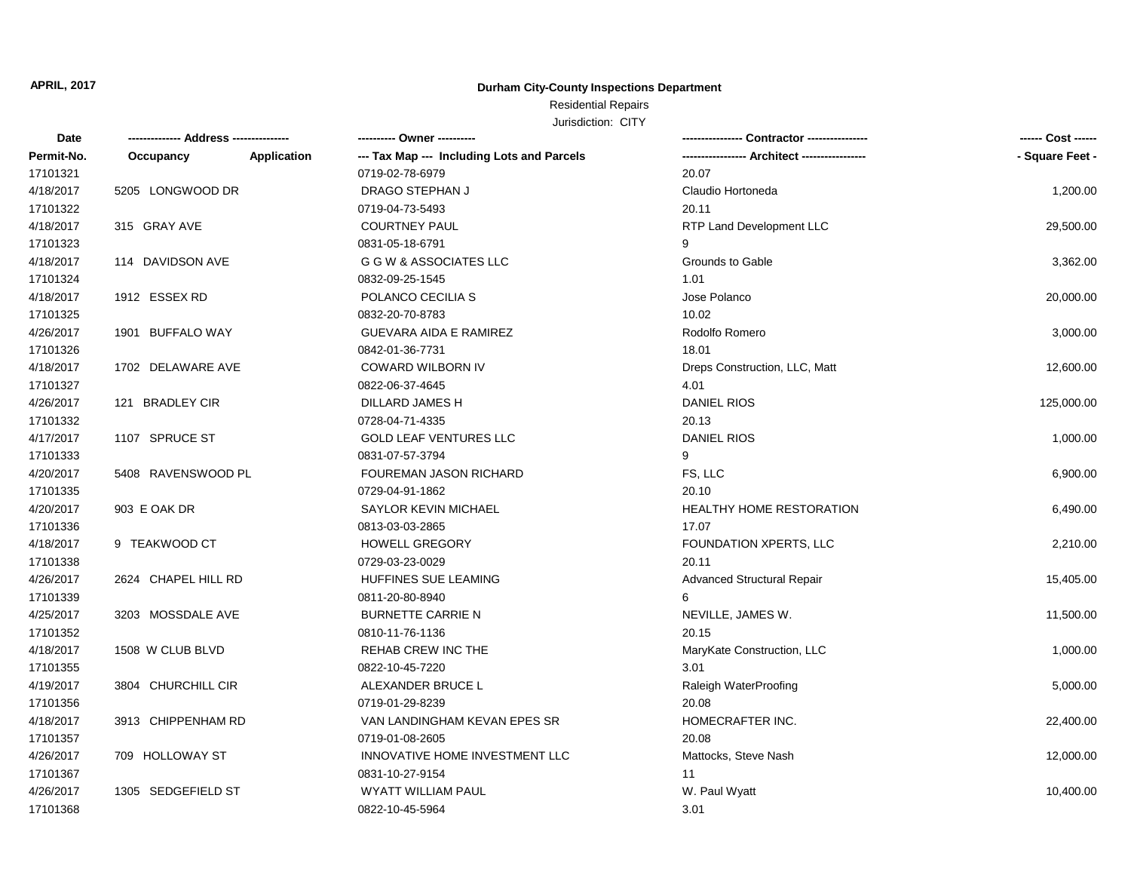## **Durham City-County Inspections Department**

# Residential Repairs

| Date       |                     |             | ---------- Owner ----------                |                                   | ------ Cost ------ |
|------------|---------------------|-------------|--------------------------------------------|-----------------------------------|--------------------|
| Permit-No. | Occupancy           | Application | --- Tax Map --- Including Lots and Parcels | --- Architect ------------        | - Square Feet -    |
| 17101321   |                     |             | 0719-02-78-6979                            | 20.07                             |                    |
| 4/18/2017  | 5205 LONGWOOD DR    |             | DRAGO STEPHAN J                            | Claudio Hortoneda                 | 1,200.00           |
| 17101322   |                     |             | 0719-04-73-5493                            | 20.11                             |                    |
| 4/18/2017  | 315 GRAY AVE        |             | <b>COURTNEY PAUL</b>                       | RTP Land Development LLC          | 29,500.00          |
| 17101323   |                     |             | 0831-05-18-6791                            | 9                                 |                    |
| 4/18/2017  | 114 DAVIDSON AVE    |             | G G W & ASSOCIATES LLC                     | Grounds to Gable                  | 3,362.00           |
| 17101324   |                     |             | 0832-09-25-1545                            | 1.01                              |                    |
| 4/18/2017  | 1912 ESSEX RD       |             | POLANCO CECILIA S                          | Jose Polanco                      | 20,000.00          |
| 17101325   |                     |             | 0832-20-70-8783                            | 10.02                             |                    |
| 4/26/2017  | 1901 BUFFALO WAY    |             | GUEVARA AIDA E RAMIREZ                     | Rodolfo Romero                    | 3,000.00           |
| 17101326   |                     |             | 0842-01-36-7731                            | 18.01                             |                    |
| 4/18/2017  | 1702 DELAWARE AVE   |             | COWARD WILBORN IV                          | Dreps Construction, LLC, Matt     | 12,600.00          |
| 17101327   |                     |             | 0822-06-37-4645                            | 4.01                              |                    |
| 4/26/2017  | 121 BRADLEY CIR     |             | DILLARD JAMES H                            | <b>DANIEL RIOS</b>                | 125,000.00         |
| 17101332   |                     |             | 0728-04-71-4335                            | 20.13                             |                    |
| 4/17/2017  | 1107 SPRUCE ST      |             | <b>GOLD LEAF VENTURES LLC</b>              | <b>DANIEL RIOS</b>                | 1,000.00           |
| 17101333   |                     |             | 0831-07-57-3794                            | 9                                 |                    |
| 4/20/2017  | 5408 RAVENSWOOD PL  |             | FOUREMAN JASON RICHARD                     | FS, LLC                           | 6,900.00           |
| 17101335   |                     |             | 0729-04-91-1862                            | 20.10                             |                    |
| 4/20/2017  | 903 E OAK DR        |             | SAYLOR KEVIN MICHAEL                       | HEALTHY HOME RESTORATION          | 6,490.00           |
| 17101336   |                     |             | 0813-03-03-2865                            | 17.07                             |                    |
| 4/18/2017  | 9 TEAKWOOD CT       |             | <b>HOWELL GREGORY</b>                      | FOUNDATION XPERTS, LLC            | 2,210.00           |
| 17101338   |                     |             | 0729-03-23-0029                            | 20.11                             |                    |
| 4/26/2017  | 2624 CHAPEL HILL RD |             | HUFFINES SUE LEAMING                       | <b>Advanced Structural Repair</b> | 15,405.00          |
| 17101339   |                     |             | 0811-20-80-8940                            | 6                                 |                    |
| 4/25/2017  | 3203 MOSSDALE AVE   |             | <b>BURNETTE CARRIE N</b>                   | NEVILLE, JAMES W.                 | 11,500.00          |
| 17101352   |                     |             | 0810-11-76-1136                            | 20.15                             |                    |
| 4/18/2017  | 1508 W CLUB BLVD    |             | <b>REHAB CREW INC THE</b>                  | MaryKate Construction, LLC        | 1,000.00           |
| 17101355   |                     |             | 0822-10-45-7220                            | 3.01                              |                    |
| 4/19/2017  | 3804 CHURCHILL CIR  |             | ALEXANDER BRUCE L                          | Raleigh WaterProofing             | 5,000.00           |
| 17101356   |                     |             | 0719-01-29-8239                            | 20.08                             |                    |
| 4/18/2017  | 3913 CHIPPENHAM RD  |             | VAN LANDINGHAM KEVAN EPES SR               | HOMECRAFTER INC.                  | 22,400.00          |
| 17101357   |                     |             | 0719-01-08-2605                            | 20.08                             |                    |
| 4/26/2017  | 709 HOLLOWAY ST     |             | INNOVATIVE HOME INVESTMENT LLC             | Mattocks, Steve Nash              | 12,000.00          |
| 17101367   |                     |             | 0831-10-27-9154                            | 11                                |                    |
| 4/26/2017  | 1305 SEDGEFIELD ST  |             | <b>WYATT WILLIAM PAUL</b>                  | W. Paul Wyatt                     | 10,400.00          |
| 17101368   |                     |             | 0822-10-45-5964                            | 3.01                              |                    |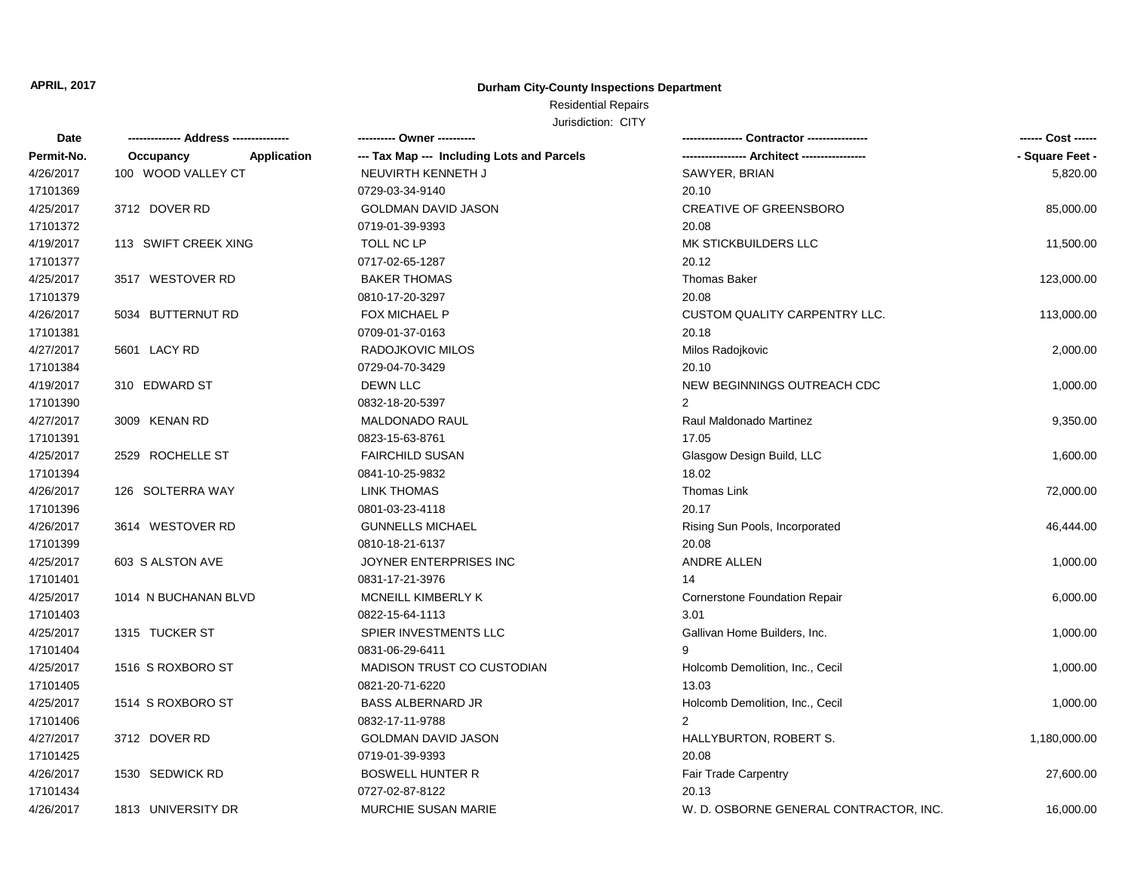## **Durham City-County Inspections Department**

# Residential Repairs

| Date       |                          | ---------- Owner ----------                |                                        | ------ Cost ------ |
|------------|--------------------------|--------------------------------------------|----------------------------------------|--------------------|
| Permit-No. | Application<br>Occupancy | --- Tax Map --- Including Lots and Parcels |                                        | - Square Feet -    |
| 4/26/2017  | 100 WOOD VALLEY CT       | NEUVIRTH KENNETH J                         | SAWYER, BRIAN                          | 5,820.00           |
| 17101369   |                          | 0729-03-34-9140                            | 20.10                                  |                    |
| 4/25/2017  | 3712 DOVER RD            | GOLDMAN DAVID JASON                        | <b>CREATIVE OF GREENSBORO</b>          | 85,000.00          |
| 17101372   |                          | 0719-01-39-9393                            | 20.08                                  |                    |
| 4/19/2017  | 113 SWIFT CREEK XING     | TOLL NC LP                                 | MK STICKBUILDERS LLC                   | 11,500.00          |
| 17101377   |                          | 0717-02-65-1287                            | 20.12                                  |                    |
| 4/25/2017  | 3517 WESTOVER RD         | <b>BAKER THOMAS</b>                        | <b>Thomas Baker</b>                    | 123,000.00         |
| 17101379   |                          | 0810-17-20-3297                            | 20.08                                  |                    |
| 4/26/2017  | 5034 BUTTERNUT RD        | FOX MICHAEL P                              | <b>CUSTOM QUALITY CARPENTRY LLC.</b>   | 113,000.00         |
| 17101381   |                          | 0709-01-37-0163                            | 20.18                                  |                    |
| 4/27/2017  | 5601 LACY RD             | RADOJKOVIC MILOS                           | Milos Radojkovic                       | 2,000.00           |
| 17101384   |                          | 0729-04-70-3429                            | 20.10                                  |                    |
| 4/19/2017  | 310 EDWARD ST            | <b>DEWN LLC</b>                            | NEW BEGINNINGS OUTREACH CDC            | 1,000.00           |
| 17101390   |                          | 0832-18-20-5397                            | $\overline{2}$                         |                    |
| 4/27/2017  | 3009 KENAN RD            | <b>MALDONADO RAUL</b>                      | Raul Maldonado Martinez                | 9,350.00           |
| 17101391   |                          | 0823-15-63-8761                            | 17.05                                  |                    |
| 4/25/2017  | 2529 ROCHELLE ST         | <b>FAIRCHILD SUSAN</b>                     | Glasgow Design Build, LLC              | 1,600.00           |
| 17101394   |                          | 0841-10-25-9832                            | 18.02                                  |                    |
| 4/26/2017  | 126 SOLTERRA WAY         | <b>LINK THOMAS</b>                         | Thomas Link                            | 72,000.00          |
| 17101396   |                          | 0801-03-23-4118                            | 20.17                                  |                    |
| 4/26/2017  | 3614 WESTOVER RD         | <b>GUNNELLS MICHAEL</b>                    | Rising Sun Pools, Incorporated         | 46,444.00          |
| 17101399   |                          | 0810-18-21-6137                            | 20.08                                  |                    |
| 4/25/2017  | 603 S ALSTON AVE         | JOYNER ENTERPRISES INC                     | ANDRE ALLEN                            | 1,000.00           |
| 17101401   |                          | 0831-17-21-3976                            | 14                                     |                    |
| 4/25/2017  | 1014 N BUCHANAN BLVD     | MCNEILL KIMBERLY K                         | Cornerstone Foundation Repair          | 6,000.00           |
| 17101403   |                          | 0822-15-64-1113                            | 3.01                                   |                    |
| 4/25/2017  | 1315 TUCKER ST           | SPIER INVESTMENTS LLC                      | Gallivan Home Builders, Inc.           | 1,000.00           |
| 17101404   |                          | 0831-06-29-6411                            | 9                                      |                    |
| 4/25/2017  | 1516 S ROXBORO ST        | MADISON TRUST CO CUSTODIAN                 | Holcomb Demolition, Inc., Cecil        | 1,000.00           |
| 17101405   |                          | 0821-20-71-6220                            | 13.03                                  |                    |
| 4/25/2017  | 1514 S ROXBORO ST        | <b>BASS ALBERNARD JR</b>                   | Holcomb Demolition, Inc., Cecil        | 1,000.00           |
| 17101406   |                          | 0832-17-11-9788                            | $\overline{2}$                         |                    |
| 4/27/2017  | 3712 DOVER RD            | GOLDMAN DAVID JASON                        | HALLYBURTON, ROBERT S.                 | 1,180,000.00       |
| 17101425   |                          | 0719-01-39-9393                            | 20.08                                  |                    |
| 4/26/2017  | 1530 SEDWICK RD          | <b>BOSWELL HUNTER R</b>                    | <b>Fair Trade Carpentry</b>            | 27,600.00          |
| 17101434   |                          | 0727-02-87-8122                            | 20.13                                  |                    |
| 4/26/2017  | 1813 UNIVERSITY DR       | MURCHIE SUSAN MARIE                        | W. D. OSBORNE GENERAL CONTRACTOR, INC. | 16,000.00          |